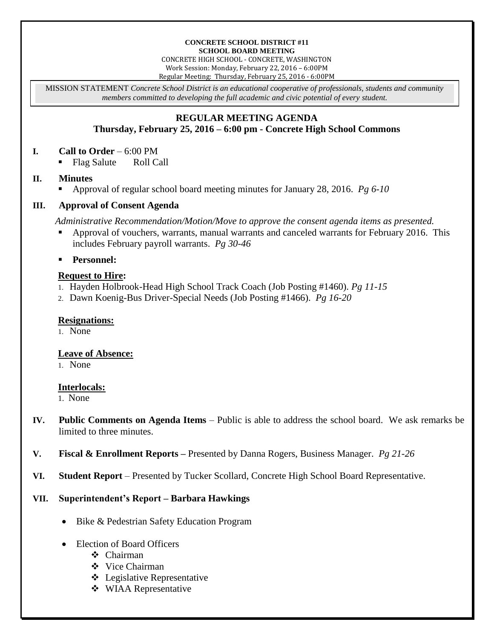#### **CONCRETE SCHOOL DISTRICT #11 SCHOOL BOARD MEETING**

CONCRETE HIGH SCHOOL - CONCRETE, WASHINGTON Work Session: Monday, February 22, 2016 – 6:00PM Regular Meeting: Thursday, February 25, 2016 - 6:00PM

MISSION STATEMENT *Concrete School District is an educational cooperative of professionals, students and community members committed to developing the full academic and civic potential of every student.*

# **REGULAR MEETING AGENDA Thursday, February 25, 2016 – 6:00 pm - Concrete High School Commons**

## **I. Call to Order** – 6:00 PM

Flag Salute Roll Call

# **II. Minutes**

Approval of regular school board meeting minutes for January 28, 2016. *Pg 6-10*

# **III. Approval of Consent Agenda**

*Administrative Recommendation/Motion/Move to approve the consent agenda items as presented.*

 Approval of vouchers, warrants, manual warrants and canceled warrants for February 2016. This includes February payroll warrants. *Pg 30-46*

**Personnel:**

# **Request to Hire:**

- 1. Hayden Holbrook-Head High School Track Coach (Job Posting #1460). *Pg 11-15*
- 2. Dawn Koenig-Bus Driver-Special Needs (Job Posting #1466). *Pg 16-20*

#### **Resignations:**

1. None

# **Leave of Absence:**

1. None

#### **Interlocals:**

1. None

- **IV. Public Comments on Agenda Items** Public is able to address the school board. We ask remarks be limited to three minutes.
- **V. Fiscal & Enrollment Reports –** Presented by Danna Rogers, Business Manager. *Pg 21-26*
- **VI. Student Report** Presented by Tucker Scollard, Concrete High School Board Representative.

# **VII. Superintendent's Report – Barbara Hawkings**

- Bike & Pedestrian Safety Education Program
- Election of Board Officers
	- Chairman
	- ❖ Vice Chairman
	- Legislative Representative
	- **❖** WIAA Representative